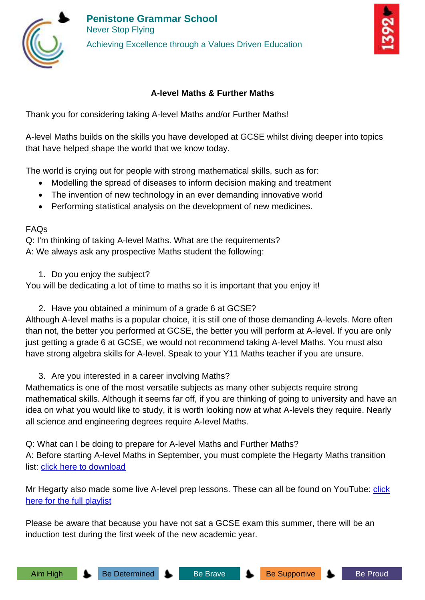



## **A-level Maths & Further Maths**

Thank you for considering taking A-level Maths and/or Further Maths!

A-level Maths builds on the skills you have developed at GCSE whilst diving deeper into topics that have helped shape the world that we know today.

The world is crying out for people with strong mathematical skills, such as for:

- Modelling the spread of diseases to inform decision making and treatment
- The invention of new technology in an ever demanding innovative world
- Performing statistical analysis on the development of new medicines.

## FAQs

Q: I'm thinking of taking A-level Maths. What are the requirements? A: We always ask any prospective Maths student the following:

1. Do you enjoy the subject?

You will be dedicating a lot of time to maths so it is important that you enjoy it!

2. Have you obtained a minimum of a grade 6 at GCSE?

Although A-level maths is a popular choice, it is still one of those demanding A-levels. More often than not, the better you performed at GCSE, the better you will perform at A-level. If you are only just getting a grade 6 at GCSE, we would not recommend taking A-level Maths. You must also have strong algebra skills for A-level. Speak to your Y11 Maths teacher if you are unsure.

3. Are you interested in a career involving Maths?

Mathematics is one of the most versatile subjects as many other subjects require strong mathematical skills. Although it seems far off, if you are thinking of going to university and have an idea on what you would like to study, it is worth looking now at what A-levels they require. Nearly all science and engineering degrees require A-level Maths.

Q: What can I be doing to prepare for A-level Maths and Further Maths? A: Before starting A-level Maths in September, you must complete the Hegarty Maths transition list: [click here to download](https://f055066d-7b89-421a-9476-16466c3bb61c.usrfiles.com/ugd/f05506_dcf12011e0284dd5b038123d830e5b90.pdf)

Mr Hegarty also made some live A-level prep lessons. These can all be found on YouTube: *click* [here for the full playlist](https://www.youtube.com/playlist?list=PLxHVbxhSvleR5tntP2FxYBJCoY5-pD_Z8)

Please be aware that because you have not sat a GCSE exam this summer, there will be an induction test during the first week of the new academic year.